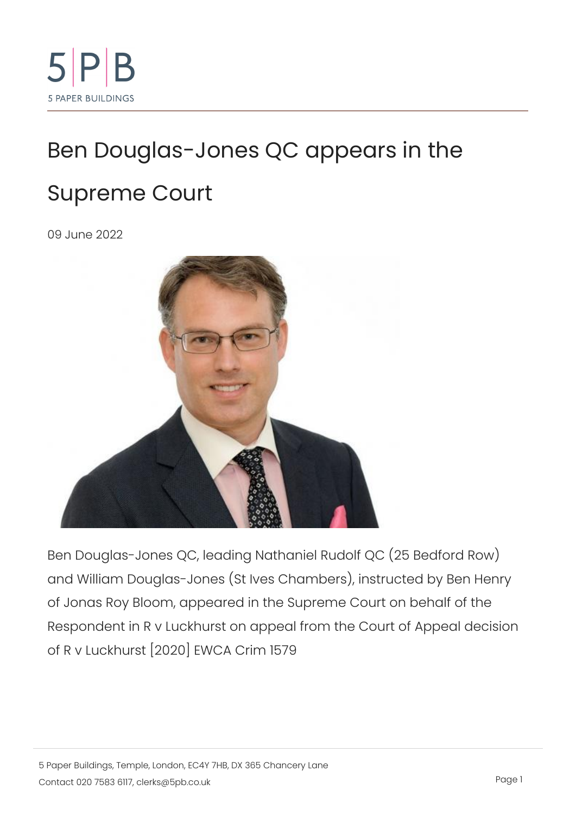## [Ben Douglas-Jones QC app](https://www.5pb.co.uk/news/ben-douglas-jones-qc-appears-supreme-court)ears in [Supreme C](https://www.5pb.co.uk/news/ben-douglas-jones-qc-appears-supreme-court)ourt

09 June 2022

Ben Douglas-Jones QC, leading Nathaniel Rudolf QC (25 and William Douglas-Jones (St Ives Chambers), instructe of Jonas Roy Bloom, appeared in the Supreme Court on b Respondent in R v Luckhurst on appeal from the Court of of R v Luckhurst [2020] EWCA Crim 1579

5 Paper Buildings, Temple, London, EC4Y 7HB, DX 365 Chancery Lane  $\text{Constant}$   $\text{C}$  on t a  $\text{Out20}$   $\text{7583}$ .  $\text{6}$  I left  $\text{R}$  s  $\text{@}$  5 p b  $\text{c}$  o  $\text{u}$  k